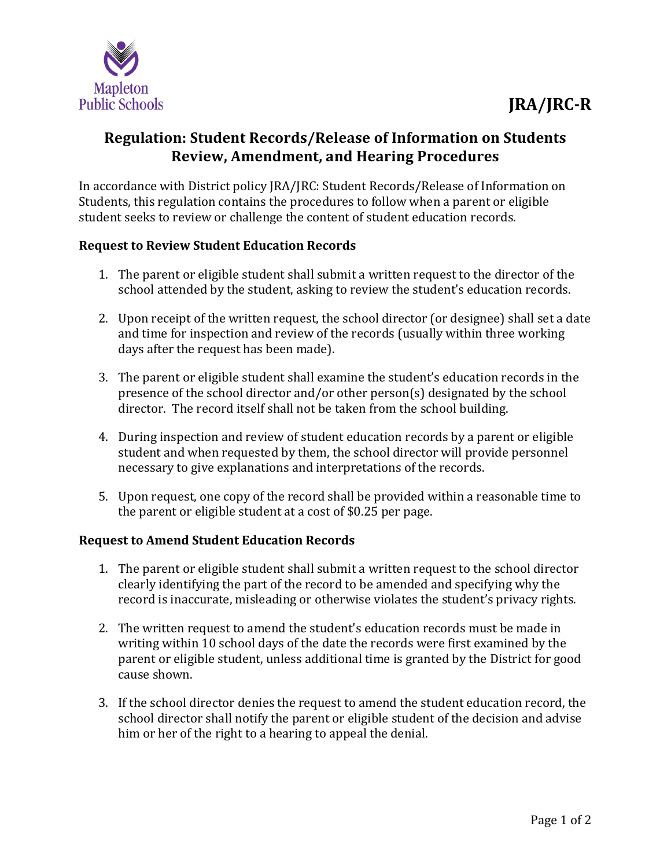

## **Regulation: Student Records/Release of Information on Students Review, Amendment, and Hearing Procedures**

In accordance with District policy JRA/JRC: Student Records/Release of Information on Students, this regulation contains the procedures to follow when a parent or eligible student seeks to review or challenge the content of student education records.

## **Request to Review Student Education Records**

- 1. The parent or eligible student shall submit a written request to the director of the school attended by the student, asking to review the student's education records.
- 2. Upon receipt of the written request, the school director (or designee) shall set a date and time for inspection and review of the records (usually within three working days after the request has been made).
- 3. The parent or eligible student shall examine the student's education records in the presence of the school director and/or other person(s) designated by the school director. The record itself shall not be taken from the school building.
- 4. During inspection and review of student education records by a parent or eligible student and when requested by them, the school director will provide personnel necessary to give explanations and interpretations of the records.
- 5. Upon request, one copy of the record shall be provided within a reasonable time to the parent or eligible student at a cost of \$0.25 per page.

## **Request to Amend Student Education Records**

- 1. The parent or eligible student shall submit a written request to the school director clearly identifying the part of the record to be amended and specifying why the record is inaccurate, misleading or otherwise violates the student's privacy rights.
- 2. The written request to amend the student's education records must be made in writing within 10 school days of the date the records were first examined by the parent or eligible student, unless additional time is granted by the District for good cause shown.
- 3. If the school director denies the request to amend the student education record, the school director shall notify the parent or eligible student of the decision and advise him or her of the right to a hearing to appeal the denial.